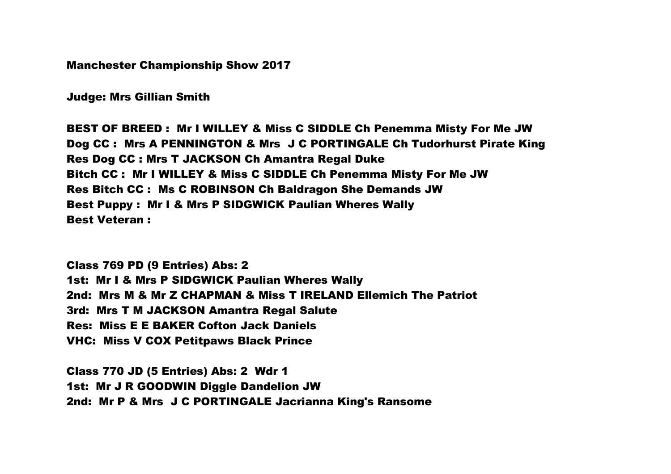Manchester Championship Show 2017

Judge: Mrs Gillian Smith

BEST OF BREED : Mr I WILLEY & Miss C SIDDLE Ch Penemma Misty For Me JW Dog CC : Mrs A PENNINGTON & Mrs J C PORTINGALE Ch Tudorhurst Pirate King Res Dog CC : Mrs T JACKSON Ch Amantra Regal Duke Bitch CC : Mr I WILLEY & Miss C SIDDLE Ch Penemma Misty For Me JW Res Bitch CC : Ms C ROBINSON Ch Baldragon She Demands JW Best Puppy : Mr I & Mrs P SIDGWICK Paulian Wheres Wally Best Veteran :

Class 769 PD (9 Entries) Abs: 2 1st: Mr I & Mrs P SIDGWICK Paulian Wheres Wally 2nd: Mrs M & Mr Z CHAPMAN & Miss T IRELAND Ellemich The Patriot 3rd: Mrs T M JACKSON Amantra Regal Salute Res: Miss E E BAKER Cofton Jack Daniels VHC: Miss V COX Petitpaws Black Prince

Class 770 JD (5 Entries) Abs: 2 Wdr 1 1st: Mr J R GOODWIN Diggle Dandelion JW 2nd: Mr P & Mrs J C PORTINGALE Jacrianna King's Ransome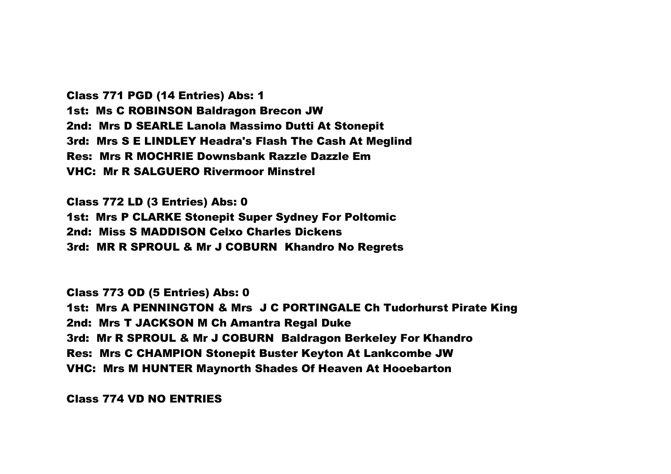Class 771 PGD (14 Entries) Abs: 1 1st: Ms C ROBINSON Baldragon Brecon JW 2nd: Mrs D SEARLE Lanola Massimo Dutti At Stonepit 3rd: Mrs S E LINDLEY Headra's Flash The Cash At Meglind Res: Mrs R MOCHRIE Downsbank Razzle Dazzle Em VHC: Mr R SALGUERO Rivermoor Minstrel

Class 772 LD (3 Entries) Abs: 0 1st: Mrs P CLARKE Stonepit Super Sydney For Poltomic 2nd: Miss S MADDISON Celxo Charles Dickens 3rd: MR R SPROUL & Mr J COBURN Khandro No Regrets

Class 773 OD (5 Entries) Abs: 0 1st: Mrs A PENNINGTON & Mrs J C PORTINGALE Ch Tudorhurst Pirate King 2nd: Mrs T JACKSON M Ch Amantra Regal Duke 3rd: Mr R SPROUL & Mr J COBURN Baldragon Berkeley For Khandro Res: Mrs C CHAMPION Stonepit Buster Keyton At Lankcombe JW VHC: Mrs M HUNTER Maynorth Shades Of Heaven At Hooebarton

Class 774 VD NO ENTRIES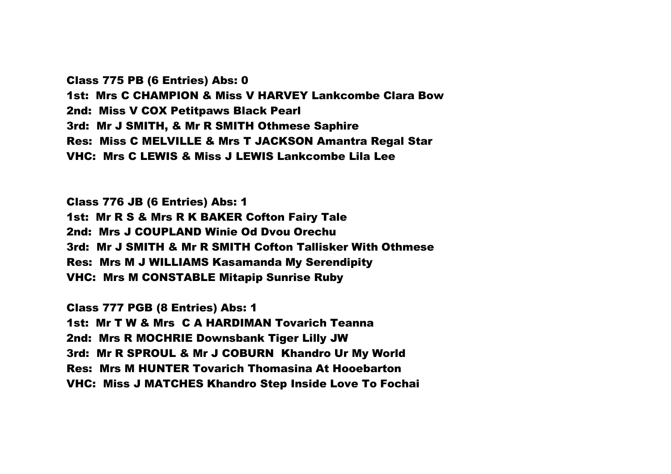Class 775 PB (6 Entries) Abs: 0 1st: Mrs C CHAMPION & Miss V HARVEY Lankcombe Clara Bow 2nd: Miss V COX Petitpaws Black Pearl 3rd: Mr J SMITH, & Mr R SMITH Othmese Saphire Res: Miss C MELVILLE & Mrs T JACKSON Amantra Regal Star VHC: Mrs C LEWIS & Miss J LEWIS Lankcombe Lila Lee

Class 776 JB (6 Entries) Abs: 1 1st: Mr R S & Mrs R K BAKER Cofton Fairy Tale 2nd: Mrs J COUPLAND Winie Od Dvou Orechu 3rd: Mr J SMITH & Mr R SMITH Cofton Tallisker With Othmese Res: Mrs M J WILLIAMS Kasamanda My Serendipity VHC: Mrs M CONSTABLE Mitapip Sunrise Ruby

Class 777 PGB (8 Entries) Abs: 1 1st: Mr T W & Mrs C A HARDIMAN Tovarich Teanna 2nd: Mrs R MOCHRIE Downsbank Tiger Lilly JW 3rd: Mr R SPROUL & Mr J COBURN Khandro Ur My World Res: Mrs M HUNTER Tovarich Thomasina At Hooebarton VHC: Miss J MATCHES Khandro Step Inside Love To Fochai